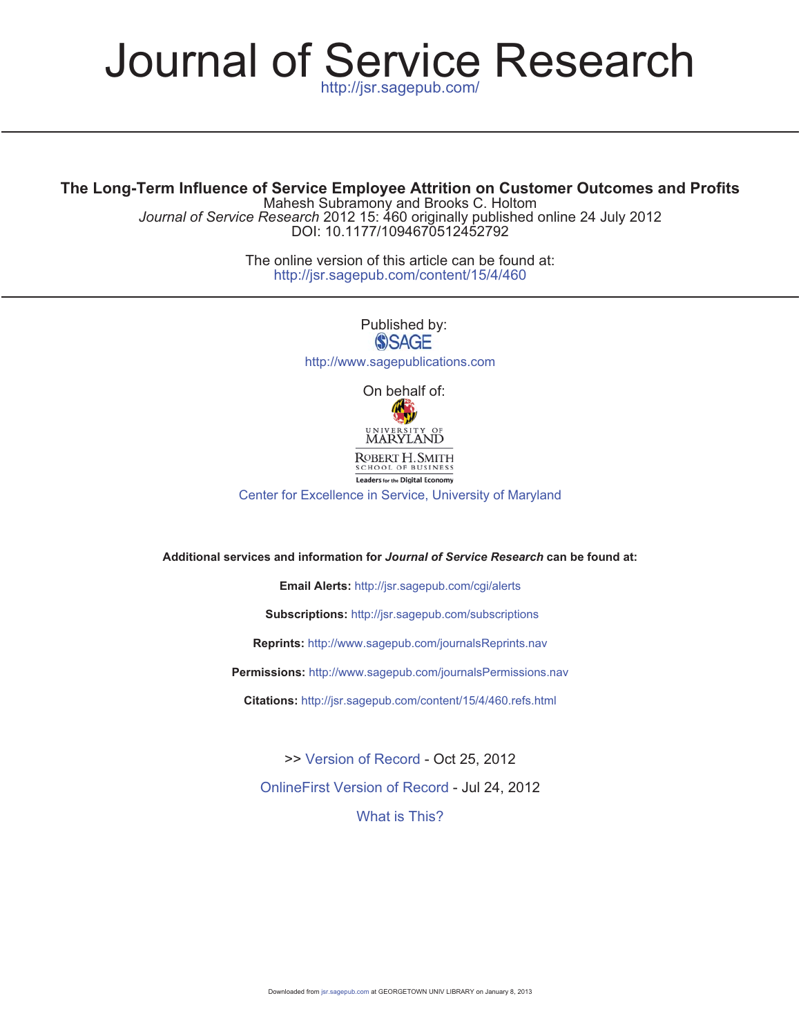# http://jsr.sagepub.com/ Journal of Service Research

## **The Long-Term Influence of Service Employee Attrition on Customer Outcomes and Profits**

DOI: 10.1177/1094670512452792 *Journal of Service Research* 2012 15: 460 originally published online 24 July 2012 Mahesh Subramony and Brooks C. Holtom

> http://jsr.sagepub.com/content/15/4/460 The online version of this article can be found at:

> > Published by:<br>
> > SAGE http://www.sagepublications.com On behalf of:

**SCHOOL OF BUSINI Leaders for the Digital Economy** Center for Excellence in Service, University of Maryland

ROBERT H. SMITH

**Additional services and information for** *Journal of Service Research* **can be found at:**

**Email Alerts:** http://jsr.sagepub.com/cgi/alerts

**Subscriptions:** http://jsr.sagepub.com/subscriptions

**Reprints:** http://www.sagepub.com/journalsReprints.nav

**Permissions:** http://www.sagepub.com/journalsPermissions.nav

**Citations:** http://jsr.sagepub.com/content/15/4/460.refs.html

What is This? OnlineFirst Version of Record - Jul 24, 2012 >> Version of Record - Oct 25, 2012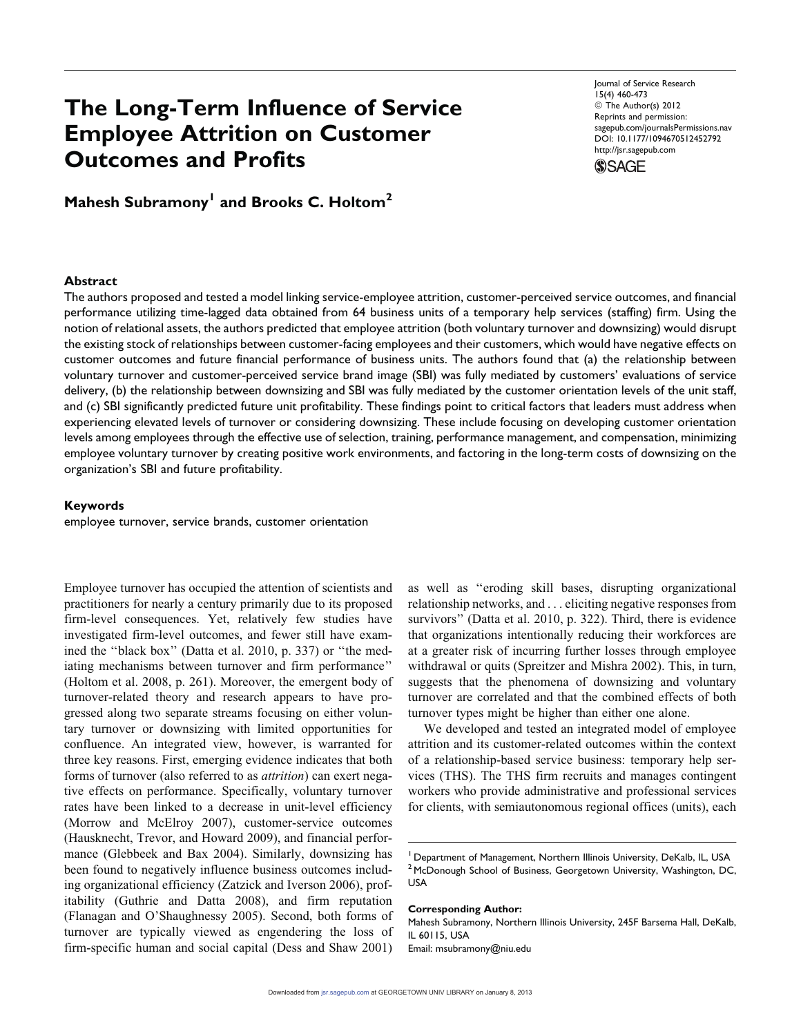## The Long-Term Influence of Service Employee Attrition on Customer Outcomes and Profits

Journal of Service Research 15(4) 460-473 © The Author(s) 2012 Reprints and permission: sagepub.com/journalsPermissions.nav DOI: 10.1177/1094670512452792 http://jsr.sagepub.com **SSAGE** 

Mahesh Subramony<sup>1</sup> and Brooks C. Holtom<sup>2</sup>

#### Abstract

The authors proposed and tested a model linking service-employee attrition, customer-perceived service outcomes, and financial performance utilizing time-lagged data obtained from 64 business units of a temporary help services (staffing) firm. Using the notion of relational assets, the authors predicted that employee attrition (both voluntary turnover and downsizing) would disrupt the existing stock of relationships between customer-facing employees and their customers, which would have negative effects on customer outcomes and future financial performance of business units. The authors found that (a) the relationship between voluntary turnover and customer-perceived service brand image (SBI) was fully mediated by customers' evaluations of service delivery, (b) the relationship between downsizing and SBI was fully mediated by the customer orientation levels of the unit staff, and (c) SBI significantly predicted future unit profitability. These findings point to critical factors that leaders must address when experiencing elevated levels of turnover or considering downsizing. These include focusing on developing customer orientation levels among employees through the effective use of selection, training, performance management, and compensation, minimizing employee voluntary turnover by creating positive work environments, and factoring in the long-term costs of downsizing on the organization's SBI and future profitability.

#### Keywords

employee turnover, service brands, customer orientation

Employee turnover has occupied the attention of scientists and practitioners for nearly a century primarily due to its proposed firm-level consequences. Yet, relatively few studies have investigated firm-level outcomes, and fewer still have examined the ''black box'' (Datta et al. 2010, p. 337) or ''the mediating mechanisms between turnover and firm performance'' (Holtom et al. 2008, p. 261). Moreover, the emergent body of turnover-related theory and research appears to have progressed along two separate streams focusing on either voluntary turnover or downsizing with limited opportunities for confluence. An integrated view, however, is warranted for three key reasons. First, emerging evidence indicates that both forms of turnover (also referred to as attrition) can exert negative effects on performance. Specifically, voluntary turnover rates have been linked to a decrease in unit-level efficiency (Morrow and McElroy 2007), customer-service outcomes (Hausknecht, Trevor, and Howard 2009), and financial performance (Glebbeek and Bax 2004). Similarly, downsizing has been found to negatively influence business outcomes including organizational efficiency (Zatzick and Iverson 2006), profitability (Guthrie and Datta 2008), and firm reputation (Flanagan and O'Shaughnessy 2005). Second, both forms of turnover are typically viewed as engendering the loss of firm-specific human and social capital (Dess and Shaw 2001)

as well as ''eroding skill bases, disrupting organizational relationship networks, and . . . eliciting negative responses from survivors'' (Datta et al. 2010, p. 322). Third, there is evidence that organizations intentionally reducing their workforces are at a greater risk of incurring further losses through employee withdrawal or quits (Spreitzer and Mishra 2002). This, in turn, suggests that the phenomena of downsizing and voluntary turnover are correlated and that the combined effects of both turnover types might be higher than either one alone.

We developed and tested an integrated model of employee attrition and its customer-related outcomes within the context of a relationship-based service business: temporary help services (THS). The THS firm recruits and manages contingent workers who provide administrative and professional services for clients, with semiautonomous regional offices (units), each

#### Corresponding Author:

Mahesh Subramony, Northern Illinois University, 245F Barsema Hall, DeKalb, IL 60115, USA

Email: msubramony@niu.edu

<sup>&</sup>lt;sup>1</sup> Department of Management, Northern Illinois University, DeKalb, IL, USA <sup>2</sup> McDonough School of Business, Georgetown University, Washington, DC, USA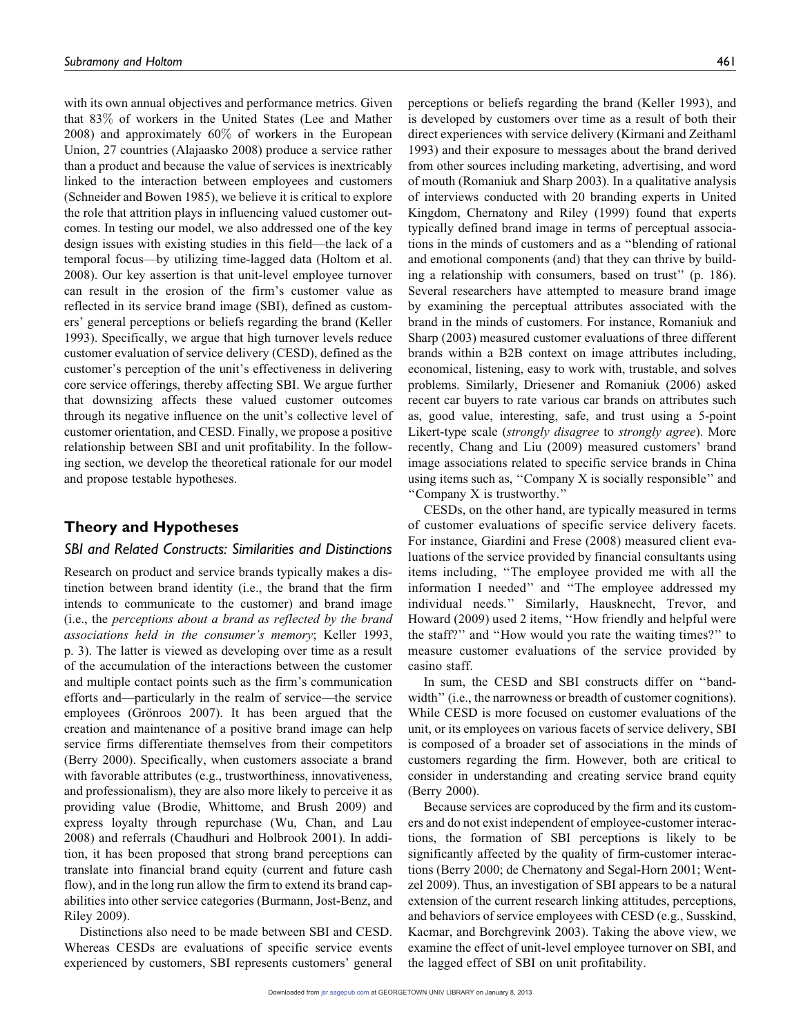with its own annual objectives and performance metrics. Given that 83% of workers in the United States (Lee and Mather 2008) and approximately 60% of workers in the European Union, 27 countries (Alajaasko 2008) produce a service rather than a product and because the value of services is inextricably linked to the interaction between employees and customers (Schneider and Bowen 1985), we believe it is critical to explore the role that attrition plays in influencing valued customer outcomes. In testing our model, we also addressed one of the key design issues with existing studies in this field—the lack of a temporal focus—by utilizing time-lagged data (Holtom et al. 2008). Our key assertion is that unit-level employee turnover can result in the erosion of the firm's customer value as reflected in its service brand image (SBI), defined as customers' general perceptions or beliefs regarding the brand (Keller 1993). Specifically, we argue that high turnover levels reduce customer evaluation of service delivery (CESD), defined as the customer's perception of the unit's effectiveness in delivering core service offerings, thereby affecting SBI. We argue further that downsizing affects these valued customer outcomes through its negative influence on the unit's collective level of customer orientation, and CESD. Finally, we propose a positive relationship between SBI and unit profitability. In the following section, we develop the theoretical rationale for our model and propose testable hypotheses.

#### Theory and Hypotheses

#### SBI and Related Constructs: Similarities and Distinctions

Research on product and service brands typically makes a distinction between brand identity (i.e., the brand that the firm intends to communicate to the customer) and brand image (i.e., the perceptions about a brand as reflected by the brand associations held in the consumer's memory; Keller 1993, p. 3). The latter is viewed as developing over time as a result of the accumulation of the interactions between the customer and multiple contact points such as the firm's communication efforts and—particularly in the realm of service—the service employees (Grönroos 2007). It has been argued that the creation and maintenance of a positive brand image can help service firms differentiate themselves from their competitors (Berry 2000). Specifically, when customers associate a brand with favorable attributes (e.g., trustworthiness, innovativeness, and professionalism), they are also more likely to perceive it as providing value (Brodie, Whittome, and Brush 2009) and express loyalty through repurchase (Wu, Chan, and Lau 2008) and referrals (Chaudhuri and Holbrook 2001). In addition, it has been proposed that strong brand perceptions can translate into financial brand equity (current and future cash flow), and in the long run allow the firm to extend its brand capabilities into other service categories (Burmann, Jost-Benz, and Riley 2009).

Distinctions also need to be made between SBI and CESD. Whereas CESDs are evaluations of specific service events experienced by customers, SBI represents customers' general perceptions or beliefs regarding the brand (Keller 1993), and is developed by customers over time as a result of both their direct experiences with service delivery (Kirmani and Zeithaml 1993) and their exposure to messages about the brand derived from other sources including marketing, advertising, and word of mouth (Romaniuk and Sharp 2003). In a qualitative analysis of interviews conducted with 20 branding experts in United Kingdom, Chernatony and Riley (1999) found that experts typically defined brand image in terms of perceptual associations in the minds of customers and as a ''blending of rational and emotional components (and) that they can thrive by building a relationship with consumers, based on trust'' (p. 186). Several researchers have attempted to measure brand image by examining the perceptual attributes associated with the brand in the minds of customers. For instance, Romaniuk and Sharp (2003) measured customer evaluations of three different brands within a B2B context on image attributes including, economical, listening, easy to work with, trustable, and solves problems. Similarly, Driesener and Romaniuk (2006) asked recent car buyers to rate various car brands on attributes such as, good value, interesting, safe, and trust using a 5-point Likert-type scale (strongly disagree to strongly agree). More recently, Chang and Liu (2009) measured customers' brand image associations related to specific service brands in China using items such as, ''Company X is socially responsible'' and ''Company X is trustworthy.''

CESDs, on the other hand, are typically measured in terms of customer evaluations of specific service delivery facets. For instance, Giardini and Frese (2008) measured client evaluations of the service provided by financial consultants using items including, ''The employee provided me with all the information I needed'' and ''The employee addressed my individual needs.'' Similarly, Hausknecht, Trevor, and Howard (2009) used 2 items, ''How friendly and helpful were the staff?'' and ''How would you rate the waiting times?'' to measure customer evaluations of the service provided by casino staff.

In sum, the CESD and SBI constructs differ on ''bandwidth" (i.e., the narrowness or breadth of customer cognitions). While CESD is more focused on customer evaluations of the unit, or its employees on various facets of service delivery, SBI is composed of a broader set of associations in the minds of customers regarding the firm. However, both are critical to consider in understanding and creating service brand equity (Berry 2000).

Because services are coproduced by the firm and its customers and do not exist independent of employee-customer interactions, the formation of SBI perceptions is likely to be significantly affected by the quality of firm-customer interactions (Berry 2000; de Chernatony and Segal-Horn 2001; Wentzel 2009). Thus, an investigation of SBI appears to be a natural extension of the current research linking attitudes, perceptions, and behaviors of service employees with CESD (e.g., Susskind, Kacmar, and Borchgrevink 2003). Taking the above view, we examine the effect of unit-level employee turnover on SBI, and the lagged effect of SBI on unit profitability.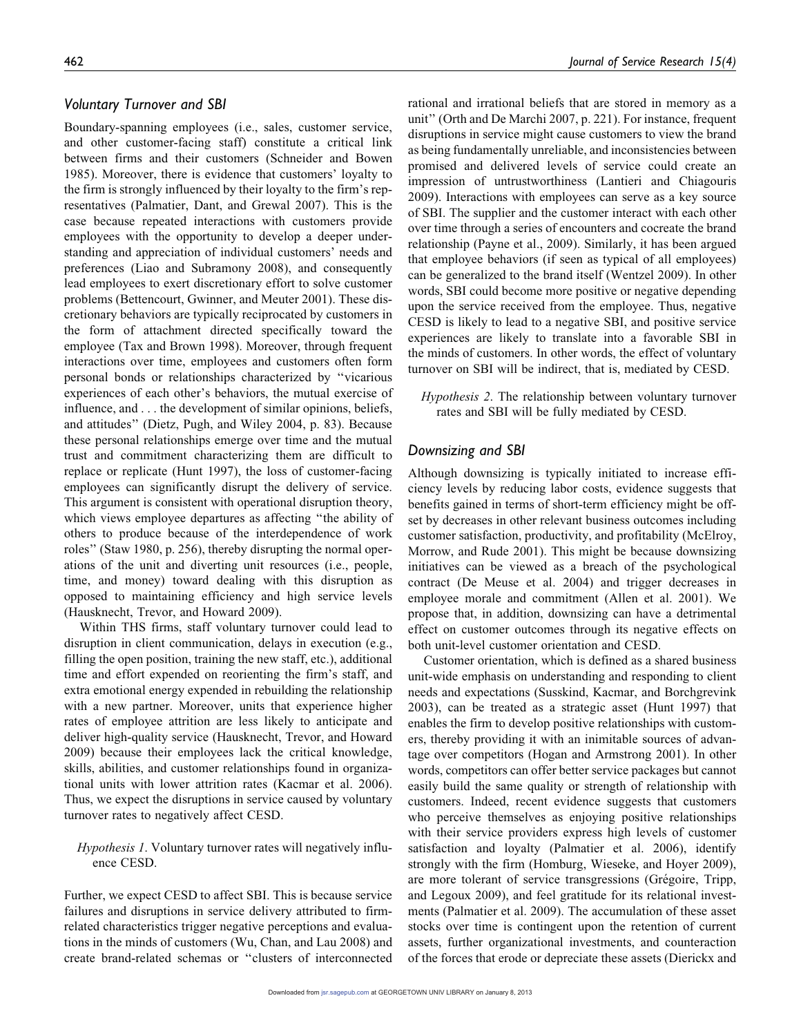#### Voluntary Turnover and SBI

Boundary-spanning employees (i.e., sales, customer service, and other customer-facing staff) constitute a critical link between firms and their customers (Schneider and Bowen 1985). Moreover, there is evidence that customers' loyalty to the firm is strongly influenced by their loyalty to the firm's representatives (Palmatier, Dant, and Grewal 2007). This is the case because repeated interactions with customers provide employees with the opportunity to develop a deeper understanding and appreciation of individual customers' needs and preferences (Liao and Subramony 2008), and consequently lead employees to exert discretionary effort to solve customer problems (Bettencourt, Gwinner, and Meuter 2001). These discretionary behaviors are typically reciprocated by customers in the form of attachment directed specifically toward the employee (Tax and Brown 1998). Moreover, through frequent interactions over time, employees and customers often form personal bonds or relationships characterized by ''vicarious experiences of each other's behaviors, the mutual exercise of influence, and . . . the development of similar opinions, beliefs, and attitudes'' (Dietz, Pugh, and Wiley 2004, p. 83). Because these personal relationships emerge over time and the mutual trust and commitment characterizing them are difficult to replace or replicate (Hunt 1997), the loss of customer-facing employees can significantly disrupt the delivery of service. This argument is consistent with operational disruption theory, which views employee departures as affecting ''the ability of others to produce because of the interdependence of work roles'' (Staw 1980, p. 256), thereby disrupting the normal operations of the unit and diverting unit resources (i.e., people, time, and money) toward dealing with this disruption as opposed to maintaining efficiency and high service levels (Hausknecht, Trevor, and Howard 2009).

Within THS firms, staff voluntary turnover could lead to disruption in client communication, delays in execution (e.g., filling the open position, training the new staff, etc.), additional time and effort expended on reorienting the firm's staff, and extra emotional energy expended in rebuilding the relationship with a new partner. Moreover, units that experience higher rates of employee attrition are less likely to anticipate and deliver high-quality service (Hausknecht, Trevor, and Howard 2009) because their employees lack the critical knowledge, skills, abilities, and customer relationships found in organizational units with lower attrition rates (Kacmar et al. 2006). Thus, we expect the disruptions in service caused by voluntary turnover rates to negatively affect CESD.

#### Hypothesis 1. Voluntary turnover rates will negatively influence CESD.

Further, we expect CESD to affect SBI. This is because service failures and disruptions in service delivery attributed to firmrelated characteristics trigger negative perceptions and evaluations in the minds of customers (Wu, Chan, and Lau 2008) and create brand-related schemas or ''clusters of interconnected rational and irrational beliefs that are stored in memory as a unit'' (Orth and De Marchi 2007, p. 221). For instance, frequent disruptions in service might cause customers to view the brand as being fundamentally unreliable, and inconsistencies between promised and delivered levels of service could create an impression of untrustworthiness (Lantieri and Chiagouris 2009). Interactions with employees can serve as a key source of SBI. The supplier and the customer interact with each other over time through a series of encounters and cocreate the brand relationship (Payne et al., 2009). Similarly, it has been argued that employee behaviors (if seen as typical of all employees) can be generalized to the brand itself (Wentzel 2009). In other words, SBI could become more positive or negative depending upon the service received from the employee. Thus, negative CESD is likely to lead to a negative SBI, and positive service experiences are likely to translate into a favorable SBI in the minds of customers. In other words, the effect of voluntary turnover on SBI will be indirect, that is, mediated by CESD.

Hypothesis 2. The relationship between voluntary turnover rates and SBI will be fully mediated by CESD.

#### Downsizing and SBI

Although downsizing is typically initiated to increase efficiency levels by reducing labor costs, evidence suggests that benefits gained in terms of short-term efficiency might be offset by decreases in other relevant business outcomes including customer satisfaction, productivity, and profitability (McElroy, Morrow, and Rude 2001). This might be because downsizing initiatives can be viewed as a breach of the psychological contract (De Meuse et al. 2004) and trigger decreases in employee morale and commitment (Allen et al. 2001). We propose that, in addition, downsizing can have a detrimental effect on customer outcomes through its negative effects on both unit-level customer orientation and CESD.

Customer orientation, which is defined as a shared business unit-wide emphasis on understanding and responding to client needs and expectations (Susskind, Kacmar, and Borchgrevink 2003), can be treated as a strategic asset (Hunt 1997) that enables the firm to develop positive relationships with customers, thereby providing it with an inimitable sources of advantage over competitors (Hogan and Armstrong 2001). In other words, competitors can offer better service packages but cannot easily build the same quality or strength of relationship with customers. Indeed, recent evidence suggests that customers who perceive themselves as enjoying positive relationships with their service providers express high levels of customer satisfaction and loyalty (Palmatier et al. 2006), identify strongly with the firm (Homburg, Wieseke, and Hoyer 2009), are more tolerant of service transgressions (Grégoire, Tripp, and Legoux 2009), and feel gratitude for its relational investments (Palmatier et al. 2009). The accumulation of these asset stocks over time is contingent upon the retention of current assets, further organizational investments, and counteraction of the forces that erode or depreciate these assets (Dierickx and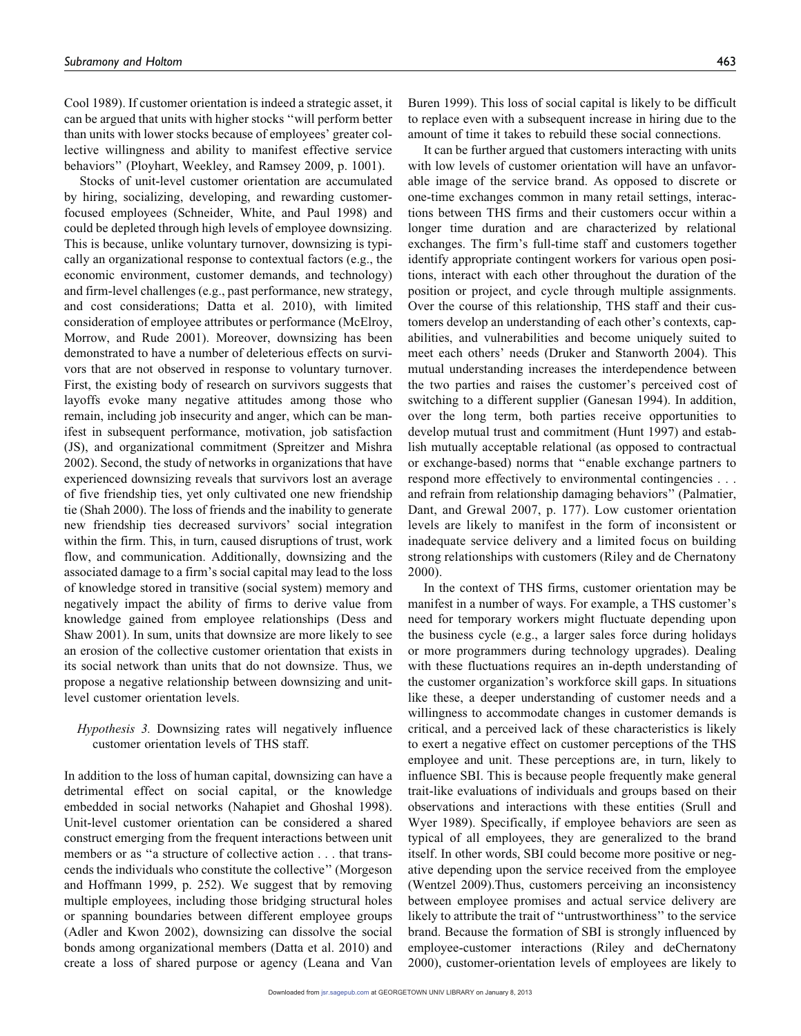Cool 1989). If customer orientation is indeed a strategic asset, it can be argued that units with higher stocks ''will perform better than units with lower stocks because of employees' greater collective willingness and ability to manifest effective service behaviors'' (Ployhart, Weekley, and Ramsey 2009, p. 1001).

Stocks of unit-level customer orientation are accumulated by hiring, socializing, developing, and rewarding customerfocused employees (Schneider, White, and Paul 1998) and could be depleted through high levels of employee downsizing. This is because, unlike voluntary turnover, downsizing is typically an organizational response to contextual factors (e.g., the economic environment, customer demands, and technology) and firm-level challenges (e.g., past performance, new strategy, and cost considerations; Datta et al. 2010), with limited consideration of employee attributes or performance (McElroy, Morrow, and Rude 2001). Moreover, downsizing has been demonstrated to have a number of deleterious effects on survivors that are not observed in response to voluntary turnover. First, the existing body of research on survivors suggests that layoffs evoke many negative attitudes among those who remain, including job insecurity and anger, which can be manifest in subsequent performance, motivation, job satisfaction (JS), and organizational commitment (Spreitzer and Mishra 2002). Second, the study of networks in organizations that have experienced downsizing reveals that survivors lost an average of five friendship ties, yet only cultivated one new friendship tie (Shah 2000). The loss of friends and the inability to generate new friendship ties decreased survivors' social integration within the firm. This, in turn, caused disruptions of trust, work flow, and communication. Additionally, downsizing and the associated damage to a firm's social capital may lead to the loss of knowledge stored in transitive (social system) memory and negatively impact the ability of firms to derive value from knowledge gained from employee relationships (Dess and Shaw 2001). In sum, units that downsize are more likely to see an erosion of the collective customer orientation that exists in its social network than units that do not downsize. Thus, we propose a negative relationship between downsizing and unitlevel customer orientation levels.

#### Hypothesis 3. Downsizing rates will negatively influence customer orientation levels of THS staff.

In addition to the loss of human capital, downsizing can have a detrimental effect on social capital, or the knowledge embedded in social networks (Nahapiet and Ghoshal 1998). Unit-level customer orientation can be considered a shared construct emerging from the frequent interactions between unit members or as ''a structure of collective action . . . that transcends the individuals who constitute the collective'' (Morgeson and Hoffmann 1999, p. 252). We suggest that by removing multiple employees, including those bridging structural holes or spanning boundaries between different employee groups (Adler and Kwon 2002), downsizing can dissolve the social bonds among organizational members (Datta et al. 2010) and create a loss of shared purpose or agency (Leana and Van Buren 1999). This loss of social capital is likely to be difficult to replace even with a subsequent increase in hiring due to the amount of time it takes to rebuild these social connections.

It can be further argued that customers interacting with units with low levels of customer orientation will have an unfavorable image of the service brand. As opposed to discrete or one-time exchanges common in many retail settings, interactions between THS firms and their customers occur within a longer time duration and are characterized by relational exchanges. The firm's full-time staff and customers together identify appropriate contingent workers for various open positions, interact with each other throughout the duration of the position or project, and cycle through multiple assignments. Over the course of this relationship, THS staff and their customers develop an understanding of each other's contexts, capabilities, and vulnerabilities and become uniquely suited to meet each others' needs (Druker and Stanworth 2004). This mutual understanding increases the interdependence between the two parties and raises the customer's perceived cost of switching to a different supplier (Ganesan 1994). In addition, over the long term, both parties receive opportunities to develop mutual trust and commitment (Hunt 1997) and establish mutually acceptable relational (as opposed to contractual or exchange-based) norms that ''enable exchange partners to respond more effectively to environmental contingencies . . . and refrain from relationship damaging behaviors'' (Palmatier, Dant, and Grewal 2007, p. 177). Low customer orientation levels are likely to manifest in the form of inconsistent or inadequate service delivery and a limited focus on building strong relationships with customers (Riley and de Chernatony 2000).

In the context of THS firms, customer orientation may be manifest in a number of ways. For example, a THS customer's need for temporary workers might fluctuate depending upon the business cycle (e.g., a larger sales force during holidays or more programmers during technology upgrades). Dealing with these fluctuations requires an in-depth understanding of the customer organization's workforce skill gaps. In situations like these, a deeper understanding of customer needs and a willingness to accommodate changes in customer demands is critical, and a perceived lack of these characteristics is likely to exert a negative effect on customer perceptions of the THS employee and unit. These perceptions are, in turn, likely to influence SBI. This is because people frequently make general trait-like evaluations of individuals and groups based on their observations and interactions with these entities (Srull and Wyer 1989). Specifically, if employee behaviors are seen as typical of all employees, they are generalized to the brand itself. In other words, SBI could become more positive or negative depending upon the service received from the employee (Wentzel 2009).Thus, customers perceiving an inconsistency between employee promises and actual service delivery are likely to attribute the trait of ''untrustworthiness'' to the service brand. Because the formation of SBI is strongly influenced by employee-customer interactions (Riley and deChernatony 2000), customer-orientation levels of employees are likely to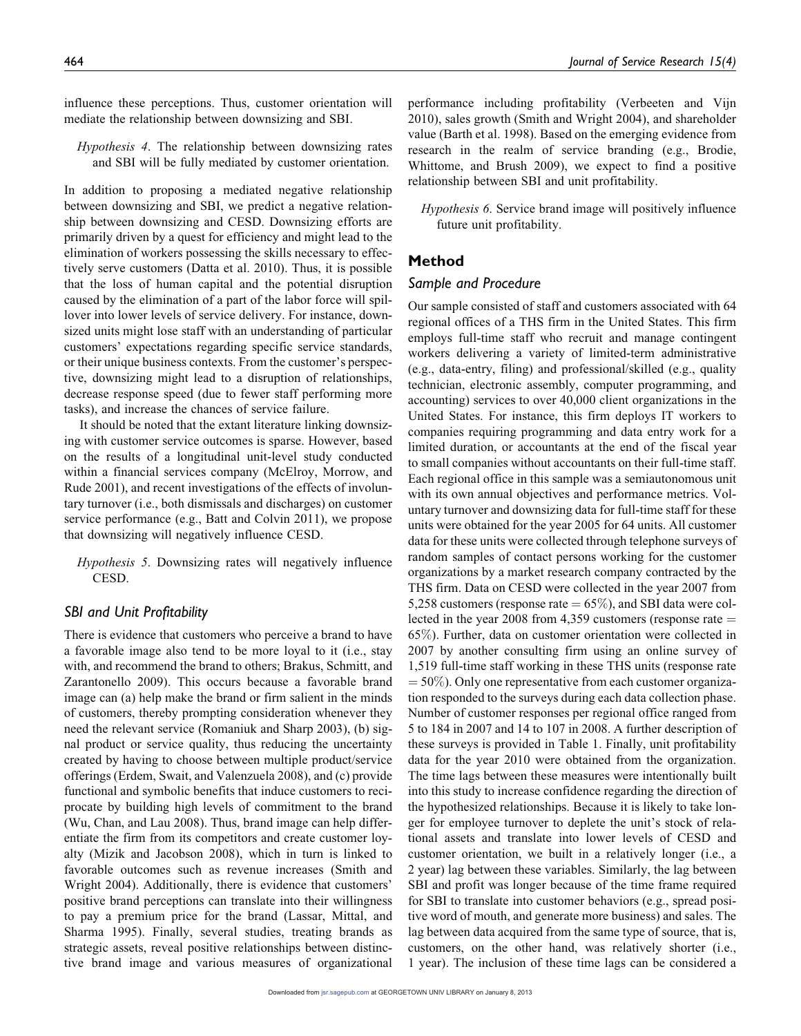influence these perceptions. Thus, customer orientation will mediate the relationship between downsizing and SBI.

Hypothesis 4. The relationship between downsizing rates and SBI will be fully mediated by customer orientation.

In addition to proposing a mediated negative relationship between downsizing and SBI, we predict a negative relationship between downsizing and CESD. Downsizing efforts are primarily driven by a quest for efficiency and might lead to the elimination of workers possessing the skills necessary to effectively serve customers (Datta et al. 2010). Thus, it is possible that the loss of human capital and the potential disruption caused by the elimination of a part of the labor force will spillover into lower levels of service delivery. For instance, downsized units might lose staff with an understanding of particular customers' expectations regarding specific service standards, or their unique business contexts. From the customer's perspective, downsizing might lead to a disruption of relationships, decrease response speed (due to fewer staff performing more tasks), and increase the chances of service failure.

It should be noted that the extant literature linking downsizing with customer service outcomes is sparse. However, based on the results of a longitudinal unit-level study conducted within a financial services company (McElroy, Morrow, and Rude 2001), and recent investigations of the effects of involuntary turnover (i.e., both dismissals and discharges) on customer service performance (e.g., Batt and Colvin 2011), we propose that downsizing will negatively influence CESD.

Hypothesis 5. Downsizing rates will negatively influence CESD.

#### SBI and Unit Profitability

There is evidence that customers who perceive a brand to have a favorable image also tend to be more loyal to it (i.e., stay with, and recommend the brand to others; Brakus, Schmitt, and Zarantonello 2009). This occurs because a favorable brand image can (a) help make the brand or firm salient in the minds of customers, thereby prompting consideration whenever they need the relevant service (Romaniuk and Sharp 2003), (b) signal product or service quality, thus reducing the uncertainty created by having to choose between multiple product/service offerings (Erdem, Swait, and Valenzuela 2008), and (c) provide functional and symbolic benefits that induce customers to reciprocate by building high levels of commitment to the brand (Wu, Chan, and Lau 2008). Thus, brand image can help differentiate the firm from its competitors and create customer loyalty (Mizik and Jacobson 2008), which in turn is linked to favorable outcomes such as revenue increases (Smith and Wright 2004). Additionally, there is evidence that customers' positive brand perceptions can translate into their willingness to pay a premium price for the brand (Lassar, Mittal, and Sharma 1995). Finally, several studies, treating brands as strategic assets, reveal positive relationships between distinctive brand image and various measures of organizational performance including profitability (Verbeeten and Vijn 2010), sales growth (Smith and Wright 2004), and shareholder value (Barth et al. 1998). Based on the emerging evidence from research in the realm of service branding (e.g., Brodie, Whittome, and Brush 2009), we expect to find a positive relationship between SBI and unit profitability.

Hypothesis 6. Service brand image will positively influence future unit profitability.

#### Method

#### Sample and Procedure

Our sample consisted of staff and customers associated with 64 regional offices of a THS firm in the United States. This firm employs full-time staff who recruit and manage contingent workers delivering a variety of limited-term administrative (e.g., data-entry, filing) and professional/skilled (e.g., quality technician, electronic assembly, computer programming, and accounting) services to over 40,000 client organizations in the United States. For instance, this firm deploys IT workers to companies requiring programming and data entry work for a limited duration, or accountants at the end of the fiscal year to small companies without accountants on their full-time staff. Each regional office in this sample was a semiautonomous unit with its own annual objectives and performance metrics. Voluntary turnover and downsizing data for full-time staff for these units were obtained for the year 2005 for 64 units. All customer data for these units were collected through telephone surveys of random samples of contact persons working for the customer organizations by a market research company contracted by the THS firm. Data on CESD were collected in the year 2007 from 5,258 customers (response rate  $= 65\%$ ), and SBI data were collected in the year 2008 from 4,359 customers (response rate  $=$ 65%). Further, data on customer orientation were collected in 2007 by another consulting firm using an online survey of 1,519 full-time staff working in these THS units (response rate  $= 50\%$ ). Only one representative from each customer organization responded to the surveys during each data collection phase. Number of customer responses per regional office ranged from 5 to 184 in 2007 and 14 to 107 in 2008. A further description of these surveys is provided in Table 1. Finally, unit profitability data for the year 2010 were obtained from the organization. The time lags between these measures were intentionally built into this study to increase confidence regarding the direction of the hypothesized relationships. Because it is likely to take longer for employee turnover to deplete the unit's stock of relational assets and translate into lower levels of CESD and customer orientation, we built in a relatively longer (i.e., a 2 year) lag between these variables. Similarly, the lag between SBI and profit was longer because of the time frame required for SBI to translate into customer behaviors (e.g., spread positive word of mouth, and generate more business) and sales. The lag between data acquired from the same type of source, that is, customers, on the other hand, was relatively shorter (i.e., 1 year). The inclusion of these time lags can be considered a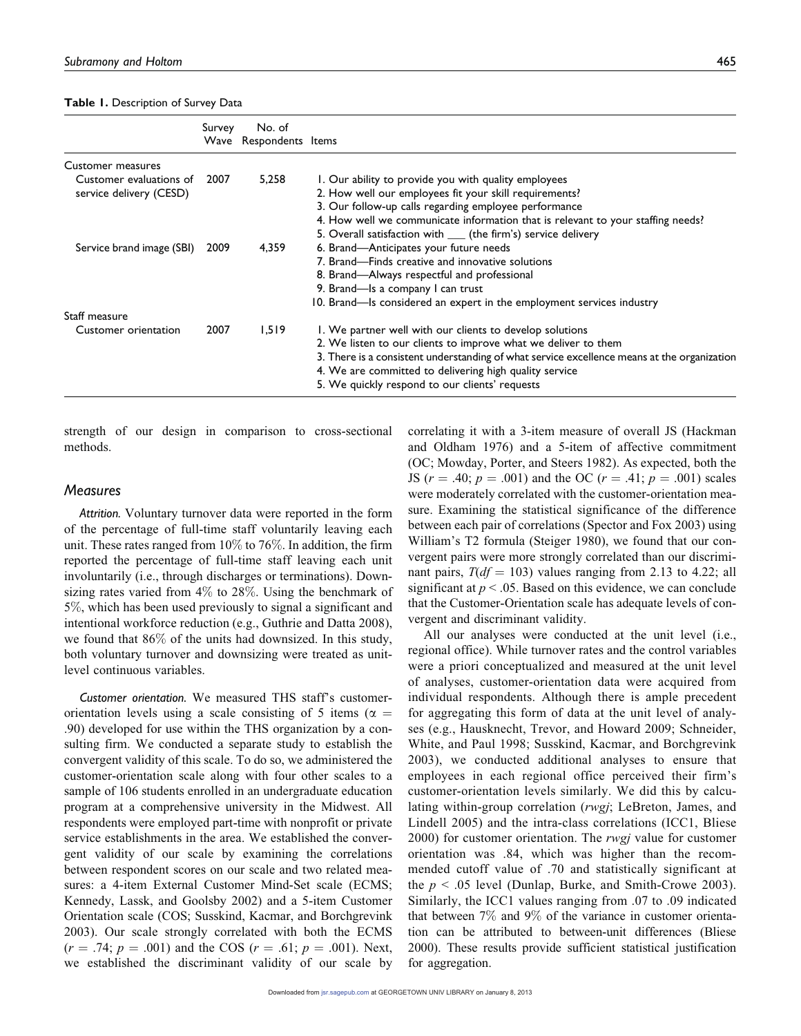#### Table 1. Description of Survey Data

|                           | Survey | No. of<br>Wave Respondents Items |                                                                                             |
|---------------------------|--------|----------------------------------|---------------------------------------------------------------------------------------------|
| Customer measures         |        |                                  |                                                                                             |
| Customer evaluations of   | 2007   | 5,258                            | 1. Our ability to provide you with quality employees                                        |
| service delivery (CESD)   |        |                                  | 2. How well our employees fit your skill requirements?                                      |
|                           |        |                                  | 3. Our follow-up calls regarding employee performance                                       |
|                           |        |                                  | 4. How well we communicate information that is relevant to your staffing needs?             |
|                           |        |                                  | 5. Overall satisfaction with _____ (the firm's) service delivery                            |
| Service brand image (SBI) | 2009   | 4,359                            | 6. Brand-Anticipates your future needs                                                      |
|                           |        |                                  | 7. Brand—Finds creative and innovative solutions                                            |
|                           |        |                                  | 8. Brand—Always respectful and professional                                                 |
|                           |        |                                  | 9. Brand—Is a company I can trust                                                           |
|                           |        |                                  | 10. Brand—Is considered an expert in the employment services industry                       |
| Staff measure             |        |                                  |                                                                                             |
| Customer orientation      | 2007   | 1,519                            | 1. We partner well with our clients to develop solutions                                    |
|                           |        |                                  | 2. We listen to our clients to improve what we deliver to them                              |
|                           |        |                                  | 3. There is a consistent understanding of what service excellence means at the organization |
|                           |        |                                  | 4. We are committed to delivering high quality service                                      |
|                           |        |                                  | 5. We quickly respond to our clients' requests                                              |

strength of our design in comparison to cross-sectional methods.

#### **Measures**

Attrition. Voluntary turnover data were reported in the form of the percentage of full-time staff voluntarily leaving each unit. These rates ranged from  $10\%$  to 76%. In addition, the firm reported the percentage of full-time staff leaving each unit involuntarily (i.e., through discharges or terminations). Downsizing rates varied from 4% to 28%. Using the benchmark of 5%, which has been used previously to signal a significant and intentional workforce reduction (e.g., Guthrie and Datta 2008), we found that 86% of the units had downsized. In this study, both voluntary turnover and downsizing were treated as unitlevel continuous variables.

Customer orientation. We measured THS staff's customerorientation levels using a scale consisting of 5 items ( $\alpha =$ .90) developed for use within the THS organization by a consulting firm. We conducted a separate study to establish the convergent validity of this scale. To do so, we administered the customer-orientation scale along with four other scales to a sample of 106 students enrolled in an undergraduate education program at a comprehensive university in the Midwest. All respondents were employed part-time with nonprofit or private service establishments in the area. We established the convergent validity of our scale by examining the correlations between respondent scores on our scale and two related measures: a 4-item External Customer Mind-Set scale (ECMS; Kennedy, Lassk, and Goolsby 2002) and a 5-item Customer Orientation scale (COS; Susskind, Kacmar, and Borchgrevink 2003). Our scale strongly correlated with both the ECMS  $(r = .74; p = .001)$  and the COS  $(r = .61; p = .001)$ . Next, we established the discriminant validity of our scale by correlating it with a 3-item measure of overall JS (Hackman and Oldham 1976) and a 5-item of affective commitment (OC; Mowday, Porter, and Steers 1982). As expected, both the JS ( $r = .40$ ;  $p = .001$ ) and the OC ( $r = .41$ ;  $p = .001$ ) scales were moderately correlated with the customer-orientation measure. Examining the statistical significance of the difference between each pair of correlations (Spector and Fox 2003) using William's T2 formula (Steiger 1980), we found that our convergent pairs were more strongly correlated than our discriminant pairs,  $T(df = 103)$  values ranging from 2.13 to 4.22; all significant at  $p < .05$ . Based on this evidence, we can conclude that the Customer-Orientation scale has adequate levels of convergent and discriminant validity.

All our analyses were conducted at the unit level (i.e., regional office). While turnover rates and the control variables were a priori conceptualized and measured at the unit level of analyses, customer-orientation data were acquired from individual respondents. Although there is ample precedent for aggregating this form of data at the unit level of analyses (e.g., Hausknecht, Trevor, and Howard 2009; Schneider, White, and Paul 1998; Susskind, Kacmar, and Borchgrevink 2003), we conducted additional analyses to ensure that employees in each regional office perceived their firm's customer-orientation levels similarly. We did this by calculating within-group correlation (rwgj; LeBreton, James, and Lindell 2005) and the intra-class correlations (ICC1, Bliese 2000) for customer orientation. The *rwgj* value for customer orientation was .84, which was higher than the recommended cutoff value of .70 and statistically significant at the  $p < .05$  level (Dunlap, Burke, and Smith-Crowe 2003). Similarly, the ICC1 values ranging from .07 to .09 indicated that between 7% and 9% of the variance in customer orientation can be attributed to between-unit differences (Bliese 2000). These results provide sufficient statistical justification for aggregation.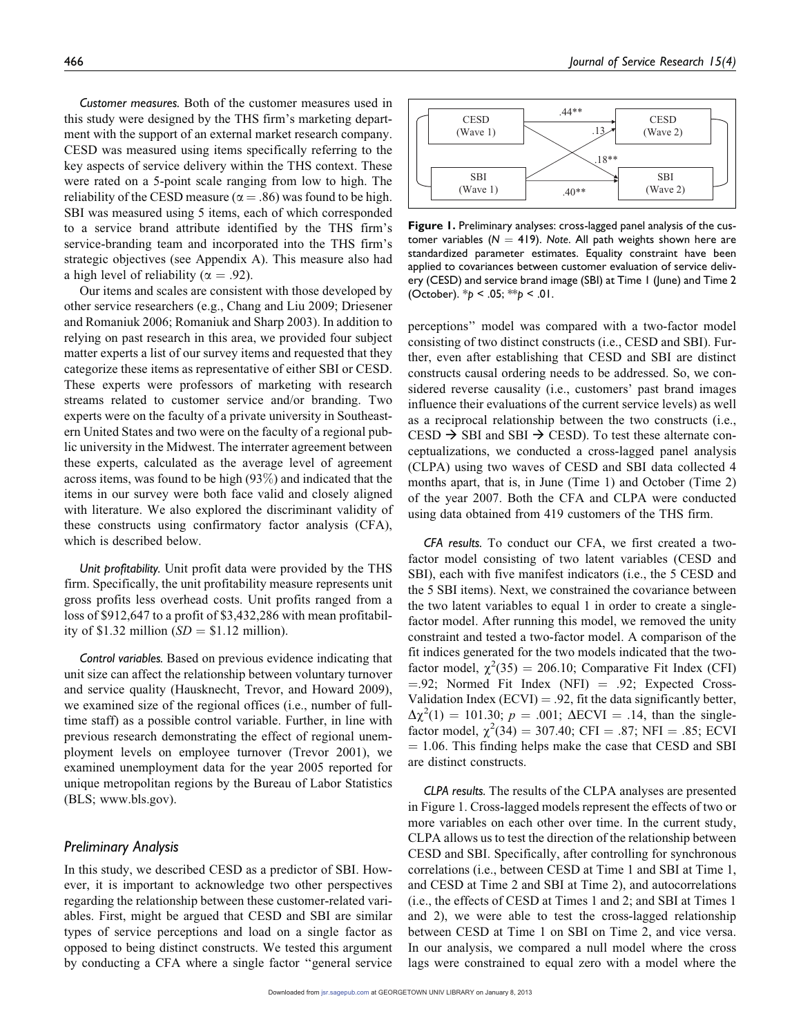Customer measures. Both of the customer measures used in this study were designed by the THS firm's marketing department with the support of an external market research company. CESD was measured using items specifically referring to the key aspects of service delivery within the THS context. These were rated on a 5-point scale ranging from low to high. The reliability of the CESD measure ( $\alpha = .86$ ) was found to be high. SBI was measured using 5 items, each of which corresponded to a service brand attribute identified by the THS firm's service-branding team and incorporated into the THS firm's strategic objectives (see Appendix A). This measure also had a high level of reliability ( $\alpha = .92$ ).

Our items and scales are consistent with those developed by other service researchers (e.g., Chang and Liu 2009; Driesener and Romaniuk 2006; Romaniuk and Sharp 2003). In addition to relying on past research in this area, we provided four subject matter experts a list of our survey items and requested that they categorize these items as representative of either SBI or CESD. These experts were professors of marketing with research streams related to customer service and/or branding. Two experts were on the faculty of a private university in Southeastern United States and two were on the faculty of a regional public university in the Midwest. The interrater agreement between these experts, calculated as the average level of agreement across items, was found to be high (93%) and indicated that the items in our survey were both face valid and closely aligned with literature. We also explored the discriminant validity of these constructs using confirmatory factor analysis (CFA), which is described below.

Unit profitability. Unit profit data were provided by the THS firm. Specifically, the unit profitability measure represents unit gross profits less overhead costs. Unit profits ranged from a loss of \$912,647 to a profit of \$3,432,286 with mean profitability of \$1.32 million  $(SD = $1.12$  million).

Control variables. Based on previous evidence indicating that unit size can affect the relationship between voluntary turnover and service quality (Hausknecht, Trevor, and Howard 2009), we examined size of the regional offices (i.e., number of fulltime staff) as a possible control variable. Further, in line with previous research demonstrating the effect of regional unemployment levels on employee turnover (Trevor 2001), we examined unemployment data for the year 2005 reported for unique metropolitan regions by the Bureau of Labor Statistics (BLS; www.bls.gov).

#### Preliminary Analysis

In this study, we described CESD as a predictor of SBI. However, it is important to acknowledge two other perspectives regarding the relationship between these customer-related variables. First, might be argued that CESD and SBI are similar types of service perceptions and load on a single factor as opposed to being distinct constructs. We tested this argument by conducting a CFA where a single factor ''general service



Figure 1. Preliminary analyses: cross-lagged panel analysis of the customer variables ( $N = 419$ ). Note. All path weights shown here are standardized parameter estimates. Equality constraint have been applied to covariances between customer evaluation of service delivery (CESD) and service brand image (SBI) at Time 1 (June) and Time 2 (October).  $* p < .05; ** p < .01$ .

perceptions'' model was compared with a two-factor model consisting of two distinct constructs (i.e., CESD and SBI). Further, even after establishing that CESD and SBI are distinct constructs causal ordering needs to be addressed. So, we considered reverse causality (i.e., customers' past brand images influence their evaluations of the current service levels) as well as a reciprocal relationship between the two constructs (i.e., CESD  $\rightarrow$  SBI and SBI  $\rightarrow$  CESD). To test these alternate conceptualizations, we conducted a cross-lagged panel analysis (CLPA) using two waves of CESD and SBI data collected 4 months apart, that is, in June (Time 1) and October (Time 2) of the year 2007. Both the CFA and CLPA were conducted using data obtained from 419 customers of the THS firm.

CFA results. To conduct our CFA, we first created a twofactor model consisting of two latent variables (CESD and SBI), each with five manifest indicators (i.e., the 5 CESD and the 5 SBI items). Next, we constrained the covariance between the two latent variables to equal 1 in order to create a singlefactor model. After running this model, we removed the unity constraint and tested a two-factor model. A comparison of the fit indices generated for the two models indicated that the twofactor model,  $\chi^2(35) = 206.10$ ; Comparative Fit Index (CFI)  $= .92$ ; Normed Fit Index (NFI)  $= .92$ ; Expected Cross-Validation Index  $(ECVI) = .92$ , fit the data significantly better,  $\Delta \chi^2(1) = 101.30; p = .001; \Delta ECVI = .14$ , than the singlefactor model,  $\chi^2(34) = 307.40$ ; CFI = .87; NFI = .85; ECVI  $= 1.06$ . This finding helps make the case that CESD and SBI are distinct constructs.

CLPA results. The results of the CLPA analyses are presented in Figure 1. Cross-lagged models represent the effects of two or more variables on each other over time. In the current study, CLPA allows us to test the direction of the relationship between CESD and SBI. Specifically, after controlling for synchronous correlations (i.e., between CESD at Time 1 and SBI at Time 1, and CESD at Time 2 and SBI at Time 2), and autocorrelations (i.e., the effects of CESD at Times 1 and 2; and SBI at Times 1 and 2), we were able to test the cross-lagged relationship between CESD at Time 1 on SBI on Time 2, and vice versa. In our analysis, we compared a null model where the cross lags were constrained to equal zero with a model where the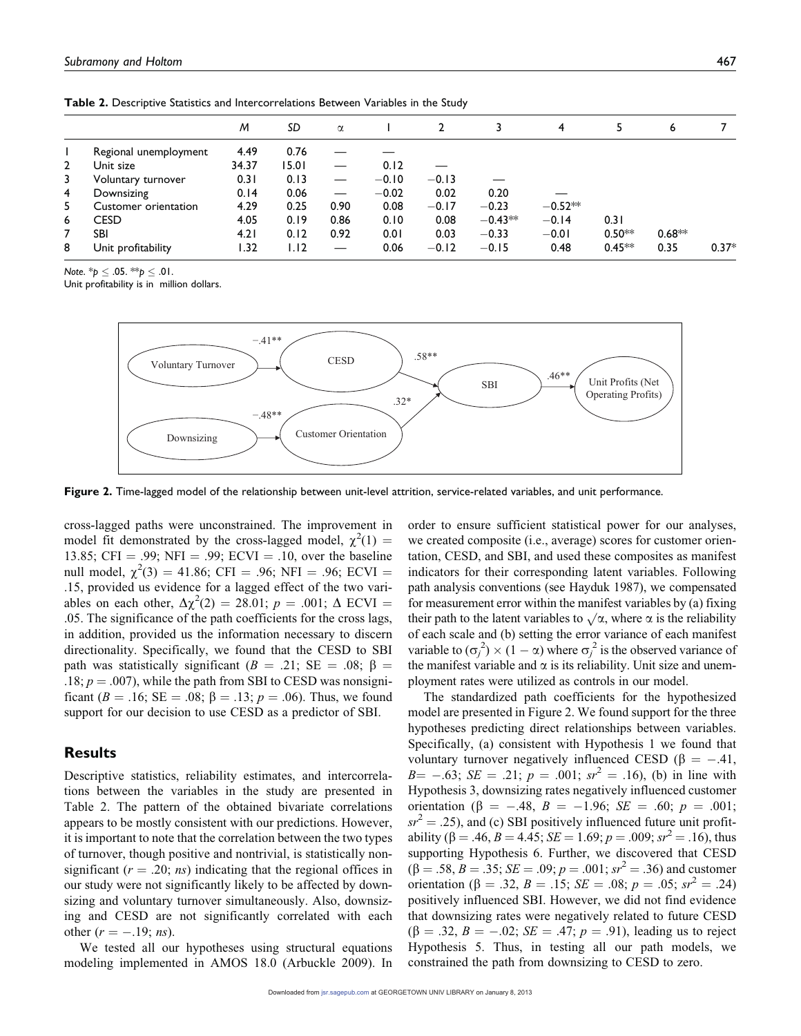|                |                       | M     | SD   | $\alpha$ |         |         |           | 4         |          | 6         |         |
|----------------|-----------------------|-------|------|----------|---------|---------|-----------|-----------|----------|-----------|---------|
|                | Regional unemployment | 4.49  | 0.76 |          |         |         |           |           |          |           |         |
| $\overline{2}$ | Unit size             | 34.37 | 5.01 |          | 0.12    |         |           |           |          |           |         |
| 3              | Voluntary turnover    | 0.31  | 0.13 |          | $-0.10$ | $-0.13$ |           |           |          |           |         |
| 4              | Downsizing            | 0.14  | 0.06 |          | $-0.02$ | 0.02    | 0.20      |           |          |           |         |
| 5.             | Customer orientation  | 4.29  | 0.25 | 0.90     | 0.08    | $-0.17$ | $-0.23$   | $-0.52**$ |          |           |         |
| 6              | <b>CESD</b>           | 4.05  | 0.19 | 0.86     | 0.10    | 0.08    | $-0.43**$ | $-0.14$   | 0.31     |           |         |
| 7              | <b>SBI</b>            | 4.21  | 0.12 | 0.92     | 0.01    | 0.03    | $-0.33$   | $-0.01$   | $0.50**$ | $0.68***$ |         |
| 8              | Unit profitability    | 1.32  | 1.12 |          | 0.06    | $-0.12$ | $-0.15$   | 0.48      | $0.45**$ | 0.35      | $0.37*$ |

Table 2. Descriptive Statistics and Intercorrelations Between Variables in the Study

Note.  $*_{p} \leq .05$ .  $*_{p} \leq .01$ .

Unit profitability is in million dollars.



Figure 2. Time-lagged model of the relationship between unit-level attrition, service-related variables, and unit performance.

cross-lagged paths were unconstrained. The improvement in model fit demonstrated by the cross-lagged model,  $\chi^2(1)$  = 13.85; CFI = .99; NFI = .99; ECVI = .10, over the baseline null model,  $\chi^2(3) = 41.86$ ; CFI = .96; NFI = .96; ECVI = .15, provided us evidence for a lagged effect of the two variables on each other,  $\Delta \chi^2(2) = 28.01$ ;  $p = .001$ ;  $\Delta$  ECVI = .05. The significance of the path coefficients for the cross lags, in addition, provided us the information necessary to discern directionality. Specifically, we found that the CESD to SBI path was statistically significant ( $B = .21$ ; SE = .08;  $\beta =$ .18;  $p = .007$ ), while the path from SBI to CESD was nonsignificant ( $B = .16$ ; SE = .08;  $\beta = .13$ ;  $p = .06$ ). Thus, we found support for our decision to use CESD as a predictor of SBI.

#### **Results**

Descriptive statistics, reliability estimates, and intercorrelations between the variables in the study are presented in Table 2. The pattern of the obtained bivariate correlations appears to be mostly consistent with our predictions. However, it is important to note that the correlation between the two types of turnover, though positive and nontrivial, is statistically nonsignificant ( $r = .20$ ; *ns*) indicating that the regional offices in our study were not significantly likely to be affected by downsizing and voluntary turnover simultaneously. Also, downsizing and CESD are not significantly correlated with each other  $(r = -.19; ns)$ .

We tested all our hypotheses using structural equations modeling implemented in AMOS 18.0 (Arbuckle 2009). In order to ensure sufficient statistical power for our analyses, we created composite (i.e., average) scores for customer orientation, CESD, and SBI, and used these composites as manifest indicators for their corresponding latent variables. Following path analysis conventions (see Hayduk 1987), we compensated for measurement error within the manifest variables by (a) fixing their path to the latent variables to  $\sqrt{\alpha}$ , where  $\alpha$  is the reliability of each scale and (b) setting the error variance of each manifest variable to  $(\sigma_j^2) \times (1 - \alpha)$  where  $\sigma_j^2$  is the observed variance of the manifest variable and  $\alpha$  is its reliability. Unit size and unemployment rates were utilized as controls in our model.

The standardized path coefficients for the hypothesized model are presented in Figure 2. We found support for the three hypotheses predicting direct relationships between variables. Specifically, (a) consistent with Hypothesis 1 we found that voluntary turnover negatively influenced CESD ( $\beta = -.41$ ,  $B=-.63$ ;  $SE=.21$ ;  $p=.001$ ;  $sr^2=.16$ ), (b) in line with Hypothesis 3, downsizing rates negatively influenced customer orientation ( $\beta = -.48$ ,  $B = -1.96$ ;  $SE = .60$ ;  $p = .001$ ;  $sr^2 = .25$ ), and (c) SBI positively influenced future unit profitability ( $\beta = .46$ ,  $B = 4.45$ ;  $SE = 1.69$ ;  $p = .009$ ;  $sr^2 = .16$ ), thus supporting Hypothesis 6. Further, we discovered that CESD  $(\beta = .58, B = .35; SE = .09; p = .001; sr^2 = .36)$  and customer orientation ( $\beta = .32$ ,  $B = .15$ ;  $SE = .08$ ;  $p = .05$ ;  $sr^2 = .24$ ) positively influenced SBI. However, we did not find evidence that downsizing rates were negatively related to future CESD  $(\beta = .32, B = -.02; SE = .47; p = .91)$ , leading us to reject Hypothesis 5. Thus, in testing all our path models, we constrained the path from downsizing to CESD to zero.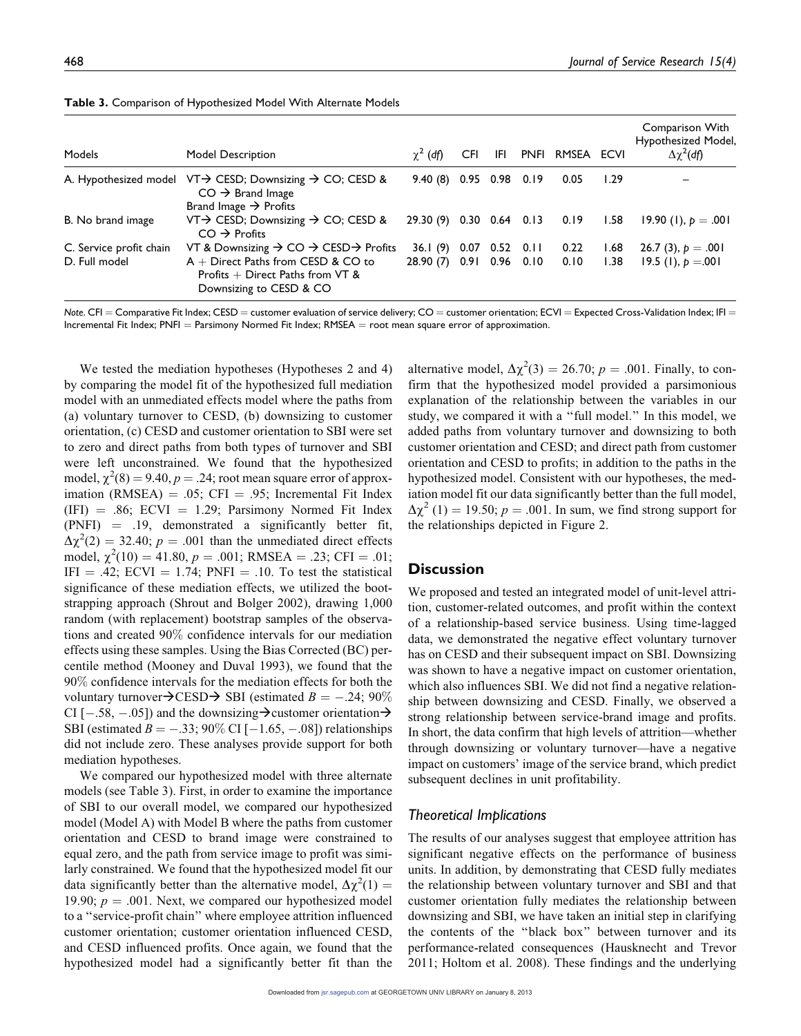| Models                  | Model Description                                                                                                                                       | $\chi^2$ (df)                 | <b>CFI</b> | IFI            |                      | PNFI RMSEA ECVI |      | Comparison With<br>Hypothesized Model,<br>$\Delta \chi^2$ (df) |
|-------------------------|---------------------------------------------------------------------------------------------------------------------------------------------------------|-------------------------------|------------|----------------|----------------------|-----------------|------|----------------------------------------------------------------|
|                         | A. Hypothesized model $VT \rightarrow CESD$ ; Downsizing $\rightarrow CO$ ; CESD &<br>$CO \rightarrow$ Brand Image<br>Brand Image $\rightarrow$ Profits | 9.40(8)                       |            | 0.95 0.98 0.19 |                      | 0.05            | 1.29 |                                                                |
| B. No brand image       | $VT \rightarrow CESD$ ; Downsizing $\rightarrow CO$ ; CESD &<br>$CO \rightarrow$ Profits                                                                | 29.30 (9) 0.30 0.64 0.13 0.19 |            |                |                      |                 | 1.58 | 19.90 (1), $p = .001$                                          |
| C. Service profit chain | VT & Downsizing $\rightarrow$ CO $\rightarrow$ CESD $\rightarrow$ Profits                                                                               | 36.1(9)                       |            |                | $0.07$ $0.52$ $0.11$ | 0.22            | 1.68 | 26.7 (3), $p = .001$                                           |
| D. Full model           | $A +$ Direct Paths from CESD & CO to<br>Profits $+$ Direct Paths from VT &<br>Downsizing to CESD & CO                                                   | 28.90(7)                      |            |                | 0.91 0.96 0.10       | 0.10            | 1.38 | 19.5 (1), $p = 001$                                            |

Table 3. Comparison of Hypothesized Model With Alternate Models

Note. CFI = Comparative Fit Index; CESD = customer evaluation of service delivery; CO = customer orientation; ECVI = Expected Cross-Validation Index; IFI = Incremental Fit Index; PNFI = Parsimony Normed Fit Index; RMSEA = root mean square error of approximation.

We tested the mediation hypotheses (Hypotheses 2 and 4) by comparing the model fit of the hypothesized full mediation model with an unmediated effects model where the paths from (a) voluntary turnover to CESD, (b) downsizing to customer orientation, (c) CESD and customer orientation to SBI were set to zero and direct paths from both types of turnover and SBI were left unconstrained. We found that the hypothesized model,  $\chi^2(8) = 9.40, p = .24$ ; root mean square error of approximation (RMSEA) = .05; CFI = .95; Incremental Fit Index  $(IFI) = .86$ ;  $ECVI = 1.29$ ; Parsimony Normed Fit Index  $(PNFI) = .19$ , demonstrated a significantly better fit,  $\Delta \chi^2(2) = 32.40; p = .001$  than the unmediated direct effects model,  $\chi^2(10) = 41.80$ ,  $p = .001$ ; RMSEA = .23; CFI = .01; IFI = .42; ECVI = 1.74; PNFI = .10. To test the statistical significance of these mediation effects, we utilized the bootstrapping approach (Shrout and Bolger 2002), drawing 1,000 random (with replacement) bootstrap samples of the observations and created 90% confidence intervals for our mediation effects using these samples. Using the Bias Corrected (BC) percentile method (Mooney and Duval 1993), we found that the 90% confidence intervals for the mediation effects for both the voluntary turnover  $\rightarrow$  CESD $\rightarrow$  SBI (estimated  $B = -.24; 90\%$ CI [ $-.58, -.05$ ]) and the downsizing  $\rightarrow$  customer orientation  $\rightarrow$ SBI (estimated  $B = -.33; 90\% \text{ CI} [-1.65, -.08]$ ) relationships did not include zero. These analyses provide support for both mediation hypotheses.

We compared our hypothesized model with three alternate models (see Table 3). First, in order to examine the importance of SBI to our overall model, we compared our hypothesized model (Model A) with Model B where the paths from customer orientation and CESD to brand image were constrained to equal zero, and the path from service image to profit was similarly constrained. We found that the hypothesized model fit our data significantly better than the alternative model,  $\Delta \chi^2(1) =$ 19.90;  $p = .001$ . Next, we compared our hypothesized model to a ''service-profit chain'' where employee attrition influenced customer orientation; customer orientation influenced CESD, and CESD influenced profits. Once again, we found that the hypothesized model had a significantly better fit than the

alternative model,  $\Delta \chi^2(3) = 26.70$ ;  $p = .001$ . Finally, to confirm that the hypothesized model provided a parsimonious explanation of the relationship between the variables in our study, we compared it with a ''full model.'' In this model, we added paths from voluntary turnover and downsizing to both customer orientation and CESD; and direct path from customer orientation and CESD to profits; in addition to the paths in the hypothesized model. Consistent with our hypotheses, the mediation model fit our data significantly better than the full model,  $\Delta \chi^2$  (1) = 19.50; p = .001. In sum, we find strong support for the relationships depicted in Figure 2.

#### **Discussion**

We proposed and tested an integrated model of unit-level attrition, customer-related outcomes, and profit within the context of a relationship-based service business. Using time-lagged data, we demonstrated the negative effect voluntary turnover has on CESD and their subsequent impact on SBI. Downsizing was shown to have a negative impact on customer orientation, which also influences SBI. We did not find a negative relationship between downsizing and CESD. Finally, we observed a strong relationship between service-brand image and profits. In short, the data confirm that high levels of attrition—whether through downsizing or voluntary turnover—have a negative impact on customers' image of the service brand, which predict subsequent declines in unit profitability.

#### Theoretical Implications

The results of our analyses suggest that employee attrition has significant negative effects on the performance of business units. In addition, by demonstrating that CESD fully mediates the relationship between voluntary turnover and SBI and that customer orientation fully mediates the relationship between downsizing and SBI, we have taken an initial step in clarifying the contents of the ''black box'' between turnover and its performance-related consequences (Hausknecht and Trevor 2011; Holtom et al. 2008). These findings and the underlying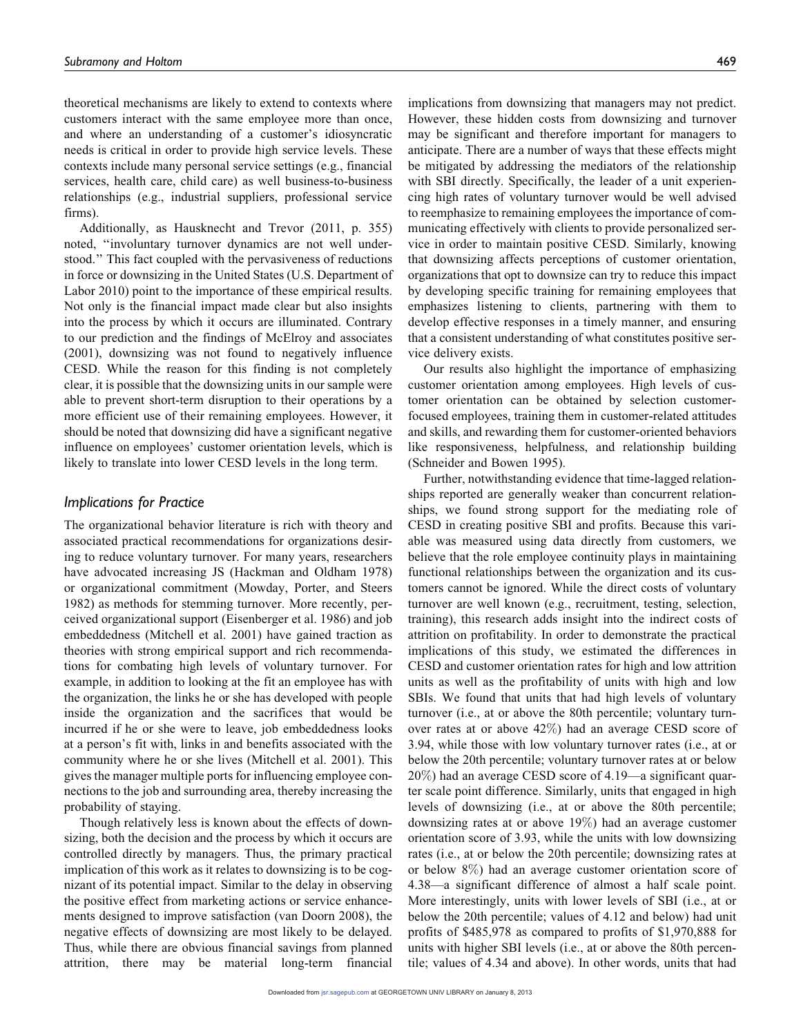theoretical mechanisms are likely to extend to contexts where customers interact with the same employee more than once, and where an understanding of a customer's idiosyncratic needs is critical in order to provide high service levels. These contexts include many personal service settings (e.g., financial services, health care, child care) as well business-to-business relationships (e.g., industrial suppliers, professional service firms).

Additionally, as Hausknecht and Trevor (2011, p. 355) noted, ''involuntary turnover dynamics are not well understood.'' This fact coupled with the pervasiveness of reductions in force or downsizing in the United States (U.S. Department of Labor 2010) point to the importance of these empirical results. Not only is the financial impact made clear but also insights into the process by which it occurs are illuminated. Contrary to our prediction and the findings of McElroy and associates (2001), downsizing was not found to negatively influence CESD. While the reason for this finding is not completely clear, it is possible that the downsizing units in our sample were able to prevent short-term disruption to their operations by a more efficient use of their remaining employees. However, it should be noted that downsizing did have a significant negative influence on employees' customer orientation levels, which is likely to translate into lower CESD levels in the long term.

#### Implications for Practice

The organizational behavior literature is rich with theory and associated practical recommendations for organizations desiring to reduce voluntary turnover. For many years, researchers have advocated increasing JS (Hackman and Oldham 1978) or organizational commitment (Mowday, Porter, and Steers 1982) as methods for stemming turnover. More recently, perceived organizational support (Eisenberger et al. 1986) and job embeddedness (Mitchell et al. 2001) have gained traction as theories with strong empirical support and rich recommendations for combating high levels of voluntary turnover. For example, in addition to looking at the fit an employee has with the organization, the links he or she has developed with people inside the organization and the sacrifices that would be incurred if he or she were to leave, job embeddedness looks at a person's fit with, links in and benefits associated with the community where he or she lives (Mitchell et al. 2001). This gives the manager multiple ports for influencing employee connections to the job and surrounding area, thereby increasing the probability of staying.

Though relatively less is known about the effects of downsizing, both the decision and the process by which it occurs are controlled directly by managers. Thus, the primary practical implication of this work as it relates to downsizing is to be cognizant of its potential impact. Similar to the delay in observing the positive effect from marketing actions or service enhancements designed to improve satisfaction (van Doorn 2008), the negative effects of downsizing are most likely to be delayed. Thus, while there are obvious financial savings from planned attrition, there may be material long-term financial implications from downsizing that managers may not predict. However, these hidden costs from downsizing and turnover may be significant and therefore important for managers to anticipate. There are a number of ways that these effects might be mitigated by addressing the mediators of the relationship with SBI directly. Specifically, the leader of a unit experiencing high rates of voluntary turnover would be well advised to reemphasize to remaining employees the importance of communicating effectively with clients to provide personalized service in order to maintain positive CESD. Similarly, knowing that downsizing affects perceptions of customer orientation, organizations that opt to downsize can try to reduce this impact by developing specific training for remaining employees that emphasizes listening to clients, partnering with them to develop effective responses in a timely manner, and ensuring that a consistent understanding of what constitutes positive service delivery exists.

Our results also highlight the importance of emphasizing customer orientation among employees. High levels of customer orientation can be obtained by selection customerfocused employees, training them in customer-related attitudes and skills, and rewarding them for customer-oriented behaviors like responsiveness, helpfulness, and relationship building (Schneider and Bowen 1995).

Further, notwithstanding evidence that time-lagged relationships reported are generally weaker than concurrent relationships, we found strong support for the mediating role of CESD in creating positive SBI and profits. Because this variable was measured using data directly from customers, we believe that the role employee continuity plays in maintaining functional relationships between the organization and its customers cannot be ignored. While the direct costs of voluntary turnover are well known (e.g., recruitment, testing, selection, training), this research adds insight into the indirect costs of attrition on profitability. In order to demonstrate the practical implications of this study, we estimated the differences in CESD and customer orientation rates for high and low attrition units as well as the profitability of units with high and low SBIs. We found that units that had high levels of voluntary turnover (i.e., at or above the 80th percentile; voluntary turnover rates at or above 42%) had an average CESD score of 3.94, while those with low voluntary turnover rates (i.e., at or below the 20th percentile; voluntary turnover rates at or below 20%) had an average CESD score of 4.19—a significant quarter scale point difference. Similarly, units that engaged in high levels of downsizing (i.e., at or above the 80th percentile; downsizing rates at or above 19%) had an average customer orientation score of 3.93, while the units with low downsizing rates (i.e., at or below the 20th percentile; downsizing rates at or below 8%) had an average customer orientation score of 4.38—a significant difference of almost a half scale point. More interestingly, units with lower levels of SBI (i.e., at or below the 20th percentile; values of 4.12 and below) had unit profits of \$485,978 as compared to profits of \$1,970,888 for units with higher SBI levels (i.e., at or above the 80th percentile; values of 4.34 and above). In other words, units that had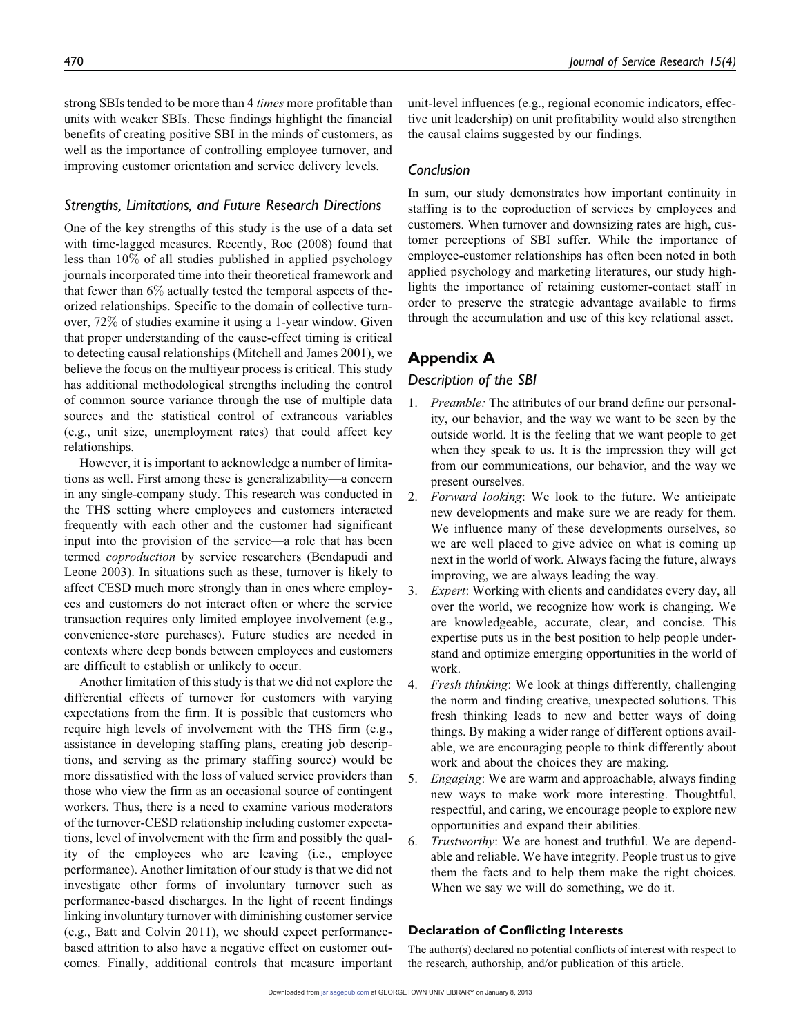strong SBIs tended to be more than 4 *times* more profitable than units with weaker SBIs. These findings highlight the financial benefits of creating positive SBI in the minds of customers, as well as the importance of controlling employee turnover, and improving customer orientation and service delivery levels.

#### Strengths, Limitations, and Future Research Directions

One of the key strengths of this study is the use of a data set with time-lagged measures. Recently, Roe (2008) found that less than 10% of all studies published in applied psychology journals incorporated time into their theoretical framework and that fewer than 6% actually tested the temporal aspects of theorized relationships. Specific to the domain of collective turnover, 72% of studies examine it using a 1-year window. Given that proper understanding of the cause-effect timing is critical to detecting causal relationships (Mitchell and James 2001), we believe the focus on the multiyear process is critical. This study has additional methodological strengths including the control of common source variance through the use of multiple data sources and the statistical control of extraneous variables (e.g., unit size, unemployment rates) that could affect key relationships.

However, it is important to acknowledge a number of limitations as well. First among these is generalizability—a concern in any single-company study. This research was conducted in the THS setting where employees and customers interacted frequently with each other and the customer had significant input into the provision of the service—a role that has been termed coproduction by service researchers (Bendapudi and Leone 2003). In situations such as these, turnover is likely to affect CESD much more strongly than in ones where employees and customers do not interact often or where the service transaction requires only limited employee involvement (e.g., convenience-store purchases). Future studies are needed in contexts where deep bonds between employees and customers are difficult to establish or unlikely to occur.

Another limitation of this study is that we did not explore the differential effects of turnover for customers with varying expectations from the firm. It is possible that customers who require high levels of involvement with the THS firm (e.g., assistance in developing staffing plans, creating job descriptions, and serving as the primary staffing source) would be more dissatisfied with the loss of valued service providers than those who view the firm as an occasional source of contingent workers. Thus, there is a need to examine various moderators of the turnover-CESD relationship including customer expectations, level of involvement with the firm and possibly the quality of the employees who are leaving (i.e., employee performance). Another limitation of our study is that we did not investigate other forms of involuntary turnover such as performance-based discharges. In the light of recent findings linking involuntary turnover with diminishing customer service (e.g., Batt and Colvin 2011), we should expect performancebased attrition to also have a negative effect on customer outcomes. Finally, additional controls that measure important unit-level influences (e.g., regional economic indicators, effective unit leadership) on unit profitability would also strengthen the causal claims suggested by our findings.

#### Conclusion

In sum, our study demonstrates how important continuity in staffing is to the coproduction of services by employees and customers. When turnover and downsizing rates are high, customer perceptions of SBI suffer. While the importance of employee-customer relationships has often been noted in both applied psychology and marketing literatures, our study highlights the importance of retaining customer-contact staff in order to preserve the strategic advantage available to firms through the accumulation and use of this key relational asset.

### Appendix A

#### Description of the SBI

- 1. Preamble: The attributes of our brand define our personality, our behavior, and the way we want to be seen by the outside world. It is the feeling that we want people to get when they speak to us. It is the impression they will get from our communications, our behavior, and the way we present ourselves.
- 2. Forward looking: We look to the future. We anticipate new developments and make sure we are ready for them. We influence many of these developments ourselves, so we are well placed to give advice on what is coming up next in the world of work. Always facing the future, always improving, we are always leading the way.
- 3. Expert: Working with clients and candidates every day, all over the world, we recognize how work is changing. We are knowledgeable, accurate, clear, and concise. This expertise puts us in the best position to help people understand and optimize emerging opportunities in the world of work.
- 4. Fresh thinking: We look at things differently, challenging the norm and finding creative, unexpected solutions. This fresh thinking leads to new and better ways of doing things. By making a wider range of different options available, we are encouraging people to think differently about work and about the choices they are making.
- 5. Engaging: We are warm and approachable, always finding new ways to make work more interesting. Thoughtful, respectful, and caring, we encourage people to explore new opportunities and expand their abilities.
- 6. Trustworthy: We are honest and truthful. We are dependable and reliable. We have integrity. People trust us to give them the facts and to help them make the right choices. When we say we will do something, we do it.

#### Declaration of Conflicting Interests

The author(s) declared no potential conflicts of interest with respect to the research, authorship, and/or publication of this article.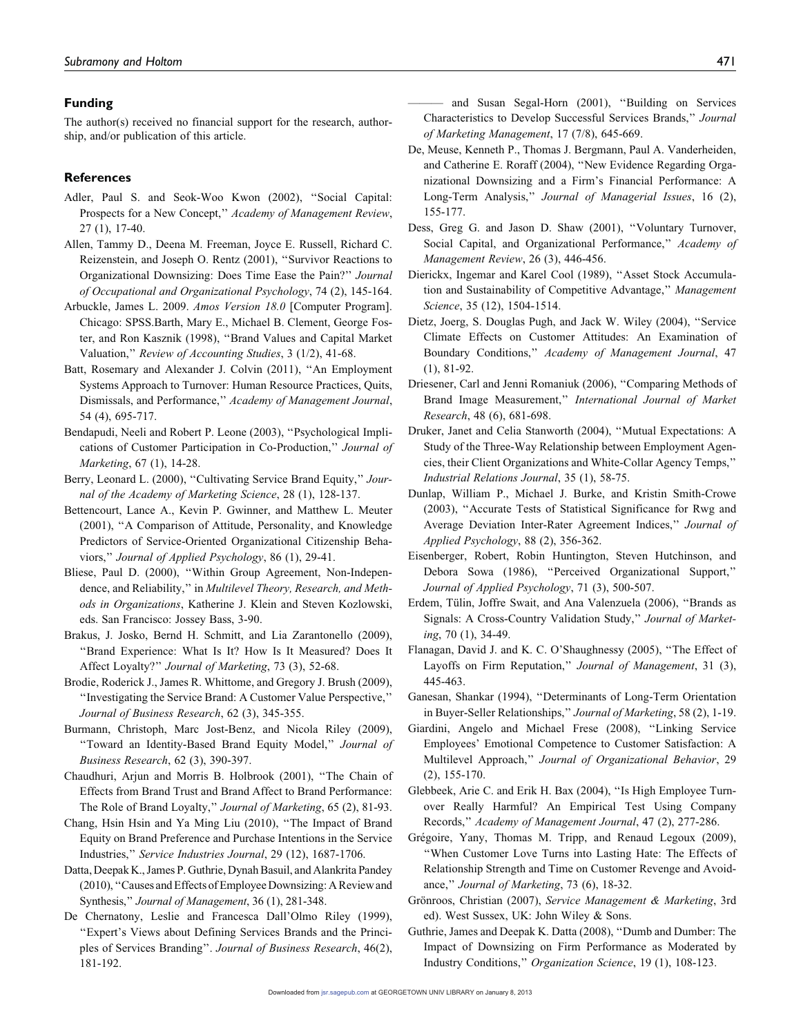#### Funding

The author(s) received no financial support for the research, authorship, and/or publication of this article.

#### **References**

- Adler, Paul S. and Seok-Woo Kwon (2002), ''Social Capital: Prospects for a New Concept," Academy of Management Review, 27 (1), 17-40.
- Allen, Tammy D., Deena M. Freeman, Joyce E. Russell, Richard C. Reizenstein, and Joseph O. Rentz (2001), ''Survivor Reactions to Organizational Downsizing: Does Time Ease the Pain?'' Journal of Occupational and Organizational Psychology, 74 (2), 145-164.
- Arbuckle, James L. 2009. Amos Version 18.0 [Computer Program]. Chicago: SPSS.Barth, Mary E., Michael B. Clement, George Foster, and Ron Kasznik (1998), ''Brand Values and Capital Market Valuation,'' Review of Accounting Studies, 3 (1/2), 41-68.
- Batt, Rosemary and Alexander J. Colvin (2011), ''An Employment Systems Approach to Turnover: Human Resource Practices, Quits, Dismissals, and Performance,'' Academy of Management Journal, 54 (4), 695-717.
- Bendapudi, Neeli and Robert P. Leone (2003), ''Psychological Implications of Customer Participation in Co-Production,'' Journal of Marketing, 67 (1), 14-28.
- Berry, Leonard L. (2000), "Cultivating Service Brand Equity," Journal of the Academy of Marketing Science, 28 (1), 128-137.
- Bettencourt, Lance A., Kevin P. Gwinner, and Matthew L. Meuter (2001), ''A Comparison of Attitude, Personality, and Knowledge Predictors of Service-Oriented Organizational Citizenship Behaviors," Journal of Applied Psychology, 86 (1), 29-41.
- Bliese, Paul D. (2000), ''Within Group Agreement, Non-Independence, and Reliability," in Multilevel Theory, Research, and Methods in Organizations, Katherine J. Klein and Steven Kozlowski, eds. San Francisco: Jossey Bass, 3-90.
- Brakus, J. Josko, Bernd H. Schmitt, and Lia Zarantonello (2009), ''Brand Experience: What Is It? How Is It Measured? Does It Affect Loyalty?'' Journal of Marketing, 73 (3), 52-68.
- Brodie, Roderick J., James R. Whittome, and Gregory J. Brush (2009), ''Investigating the Service Brand: A Customer Value Perspective,'' Journal of Business Research, 62 (3), 345-355.
- Burmann, Christoph, Marc Jost-Benz, and Nicola Riley (2009), ''Toward an Identity-Based Brand Equity Model,'' Journal of Business Research, 62 (3), 390-397.
- Chaudhuri, Arjun and Morris B. Holbrook (2001), ''The Chain of Effects from Brand Trust and Brand Affect to Brand Performance: The Role of Brand Loyalty,'' Journal of Marketing, 65 (2), 81-93.
- Chang, Hsin Hsin and Ya Ming Liu (2010), ''The Impact of Brand Equity on Brand Preference and Purchase Intentions in the Service Industries,'' Service Industries Journal, 29 (12), 1687-1706.
- Datta, Deepak K., James P. Guthrie, Dynah Basuil, and Alankrita Pandey (2010), ''Causes and Effects of Employee Downsizing: A Review and Synthesis,'' Journal of Management, 36 (1), 281-348.
- De Chernatony, Leslie and Francesca Dall'Olmo Riley (1999), ''Expert's Views about Defining Services Brands and the Principles of Services Branding''. Journal of Business Research, 46(2), 181-192.
- and Susan Segal-Horn (2001), "Building on Services Characteristics to Develop Successful Services Brands,'' Journal of Marketing Management, 17 (7/8), 645-669.
- De, Meuse, Kenneth P., Thomas J. Bergmann, Paul A. Vanderheiden, and Catherine E. Roraff (2004), ''New Evidence Regarding Organizational Downsizing and a Firm's Financial Performance: A Long-Term Analysis,'' Journal of Managerial Issues, 16 (2), 155-177.
- Dess, Greg G. and Jason D. Shaw (2001), ''Voluntary Turnover, Social Capital, and Organizational Performance," Academy of Management Review, 26 (3), 446-456.
- Dierickx, Ingemar and Karel Cool (1989), ''Asset Stock Accumulation and Sustainability of Competitive Advantage," Management Science, 35 (12), 1504-1514.
- Dietz, Joerg, S. Douglas Pugh, and Jack W. Wiley (2004), ''Service Climate Effects on Customer Attitudes: An Examination of Boundary Conditions,'' Academy of Management Journal, 47 (1), 81-92.
- Driesener, Carl and Jenni Romaniuk (2006), ''Comparing Methods of Brand Image Measurement,'' International Journal of Market Research, 48 (6), 681-698.
- Druker, Janet and Celia Stanworth (2004), ''Mutual Expectations: A Study of the Three-Way Relationship between Employment Agencies, their Client Organizations and White-Collar Agency Temps,'' Industrial Relations Journal, 35 (1), 58-75.
- Dunlap, William P., Michael J. Burke, and Kristin Smith-Crowe (2003), ''Accurate Tests of Statistical Significance for Rwg and Average Deviation Inter-Rater Agreement Indices,'' Journal of Applied Psychology, 88 (2), 356-362.
- Eisenberger, Robert, Robin Huntington, Steven Hutchinson, and Debora Sowa (1986), ''Perceived Organizational Support,'' Journal of Applied Psychology, 71 (3), 500-507.
- Erdem, Tülin, Joffre Swait, and Ana Valenzuela (2006), "Brands as Signals: A Cross-Country Validation Study," Journal of Marketing, 70 (1), 34-49.
- Flanagan, David J. and K. C. O'Shaughnessy (2005), ''The Effect of Layoffs on Firm Reputation," Journal of Management, 31 (3), 445-463.
- Ganesan, Shankar (1994), ''Determinants of Long-Term Orientation in Buyer-Seller Relationships,'' Journal of Marketing, 58 (2), 1-19.
- Giardini, Angelo and Michael Frese (2008), ''Linking Service Employees' Emotional Competence to Customer Satisfaction: A Multilevel Approach,'' Journal of Organizational Behavior, 29 (2), 155-170.
- Glebbeek, Arie C. and Erik H. Bax (2004), ''Is High Employee Turnover Really Harmful? An Empirical Test Using Company Records,'' Academy of Management Journal, 47 (2), 277-286.
- Grégoire, Yany, Thomas M. Tripp, and Renaud Legoux (2009), ''When Customer Love Turns into Lasting Hate: The Effects of Relationship Strength and Time on Customer Revenge and Avoidance," Journal of Marketing, 73 (6), 18-32.
- Grönroos, Christian (2007), Service Management & Marketing, 3rd ed). West Sussex, UK: John Wiley & Sons.
- Guthrie, James and Deepak K. Datta (2008), ''Dumb and Dumber: The Impact of Downsizing on Firm Performance as Moderated by Industry Conditions,'' Organization Science, 19 (1), 108-123.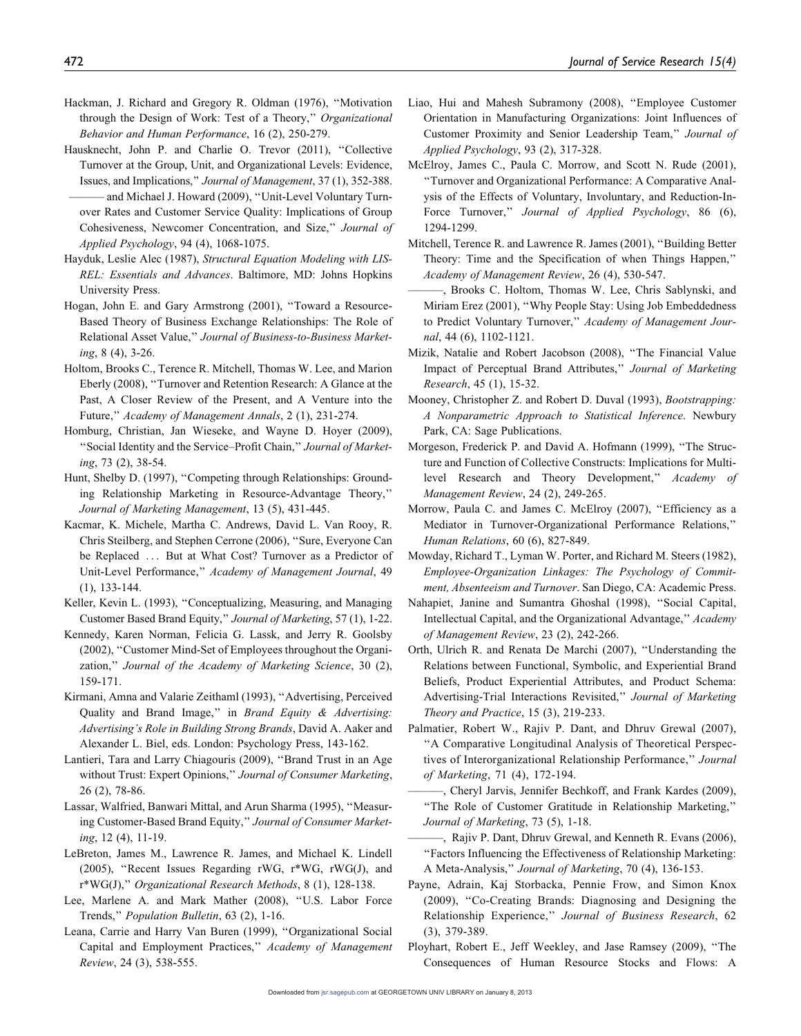- Hackman, J. Richard and Gregory R. Oldman (1976), ''Motivation through the Design of Work: Test of a Theory," Organizational Behavior and Human Performance, 16 (2), 250-279.
- Hausknecht, John P. and Charlie O. Trevor (2011), "Collective Turnover at the Group, Unit, and Organizational Levels: Evidence, Issues, and Implications,'' Journal of Management, 37 (1), 352-388. and Michael J. Howard (2009), "Unit-Level Voluntary Turnover Rates and Customer Service Quality: Implications of Group Cohesiveness, Newcomer Concentration, and Size,'' Journal of Applied Psychology, 94 (4), 1068-1075.
- Hayduk, Leslie Alec (1987), Structural Equation Modeling with LIS-REL: Essentials and Advances. Baltimore, MD: Johns Hopkins University Press.
- Hogan, John E. and Gary Armstrong (2001), ''Toward a Resource-Based Theory of Business Exchange Relationships: The Role of Relational Asset Value,'' Journal of Business-to-Business Marketing, 8 (4), 3-26.
- Holtom, Brooks C., Terence R. Mitchell, Thomas W. Lee, and Marion Eberly (2008), ''Turnover and Retention Research: A Glance at the Past, A Closer Review of the Present, and A Venture into the Future,'' Academy of Management Annals, 2 (1), 231-274.
- Homburg, Christian, Jan Wieseke, and Wayne D. Hoyer (2009), ''Social Identity and the Service–Profit Chain,'' Journal of Marketing, 73 (2), 38-54.
- Hunt, Shelby D. (1997), "Competing through Relationships: Grounding Relationship Marketing in Resource-Advantage Theory,'' Journal of Marketing Management, 13 (5), 431-445.
- Kacmar, K. Michele, Martha C. Andrews, David L. Van Rooy, R. Chris Steilberg, and Stephen Cerrone (2006), ''Sure, Everyone Can be Replaced ... But at What Cost? Turnover as a Predictor of Unit-Level Performance,'' Academy of Management Journal, 49 (1), 133-144.
- Keller, Kevin L. (1993), "Conceptualizing, Measuring, and Managing Customer Based Brand Equity,'' Journal of Marketing, 57 (1), 1-22.
- Kennedy, Karen Norman, Felicia G. Lassk, and Jerry R. Goolsby (2002), ''Customer Mind-Set of Employees throughout the Organization,'' Journal of the Academy of Marketing Science, 30 (2), 159-171.
- Kirmani, Amna and Valarie Zeithaml (1993), ''Advertising, Perceived Quality and Brand Image," in Brand Equity & Advertising: Advertising's Role in Building Strong Brands, David A. Aaker and Alexander L. Biel, eds. London: Psychology Press, 143-162.
- Lantieri, Tara and Larry Chiagouris (2009), ''Brand Trust in an Age without Trust: Expert Opinions," Journal of Consumer Marketing, 26 (2), 78-86.
- Lassar, Walfried, Banwari Mittal, and Arun Sharma (1995), ''Measuring Customer-Based Brand Equity,'' Journal of Consumer Marketing, 12 (4), 11-19.
- LeBreton, James M., Lawrence R. James, and Michael K. Lindell (2005), ''Recent Issues Regarding rWG, r\*WG, rWG(J), and r\*WG(J)," Organizational Research Methods, 8 (1), 128-138.
- Lee, Marlene A. and Mark Mather (2008), ''U.S. Labor Force Trends,'' Population Bulletin, 63 (2), 1-16.
- Leana, Carrie and Harry Van Buren (1999), ''Organizational Social Capital and Employment Practices,'' Academy of Management Review, 24 (3), 538-555.
- Liao, Hui and Mahesh Subramony (2008), ''Employee Customer Orientation in Manufacturing Organizations: Joint Influences of Customer Proximity and Senior Leadership Team,'' Journal of Applied Psychology, 93 (2), 317-328.
- McElroy, James C., Paula C. Morrow, and Scott N. Rude (2001), ''Turnover and Organizational Performance: A Comparative Analysis of the Effects of Voluntary, Involuntary, and Reduction-In-Force Turnover," Journal of Applied Psychology, 86 (6), 1294-1299.
- Mitchell, Terence R. and Lawrence R. James (2001), ''Building Better Theory: Time and the Specification of when Things Happen,'' Academy of Management Review, 26 (4), 530-547.
- ———, Brooks C. Holtom, Thomas W. Lee, Chris Sablynski, and Miriam Erez (2001), ''Why People Stay: Using Job Embeddedness to Predict Voluntary Turnover," Academy of Management Journal, 44 (6), 1102-1121.
- Mizik, Natalie and Robert Jacobson (2008), ''The Financial Value Impact of Perceptual Brand Attributes,'' Journal of Marketing Research, 45 (1), 15-32.
- Mooney, Christopher Z. and Robert D. Duval (1993), Bootstrapping: A Nonparametric Approach to Statistical Inference. Newbury Park, CA: Sage Publications.
- Morgeson, Frederick P. and David A. Hofmann (1999), ''The Structure and Function of Collective Constructs: Implications for Multilevel Research and Theory Development,'' Academy of Management Review, 24 (2), 249-265.
- Morrow, Paula C. and James C. McElroy (2007), "Efficiency as a Mediator in Turnover-Organizational Performance Relations,'' Human Relations, 60 (6), 827-849.
- Mowday, Richard T., Lyman W. Porter, and Richard M. Steers (1982), Employee-Organization Linkages: The Psychology of Commitment, Absenteeism and Turnover. San Diego, CA: Academic Press.
- Nahapiet, Janine and Sumantra Ghoshal (1998), ''Social Capital, Intellectual Capital, and the Organizational Advantage,'' Academy of Management Review, 23 (2), 242-266.
- Orth, Ulrich R. and Renata De Marchi (2007), ''Understanding the Relations between Functional, Symbolic, and Experiential Brand Beliefs, Product Experiential Attributes, and Product Schema: Advertising-Trial Interactions Revisited,'' Journal of Marketing Theory and Practice, 15 (3), 219-233.
- Palmatier, Robert W., Rajiv P. Dant, and Dhruv Grewal (2007), ''A Comparative Longitudinal Analysis of Theoretical Perspectives of Interorganizational Relationship Performance,'' Journal of Marketing, 71 (4), 172-194.
	- ———, Cheryl Jarvis, Jennifer Bechkoff, and Frank Kardes (2009), ''The Role of Customer Gratitude in Relationship Marketing,'' Journal of Marketing, 73 (5), 1-18.
	- ———, Rajiv P. Dant, Dhruv Grewal, and Kenneth R. Evans (2006), ''Factors Influencing the Effectiveness of Relationship Marketing: A Meta-Analysis,'' Journal of Marketing, 70 (4), 136-153.
- Payne, Adrain, Kaj Storbacka, Pennie Frow, and Simon Knox (2009), ''Co-Creating Brands: Diagnosing and Designing the Relationship Experience,'' Journal of Business Research, 62 (3), 379-389.
- Ployhart, Robert E., Jeff Weekley, and Jase Ramsey (2009), ''The Consequences of Human Resource Stocks and Flows: A